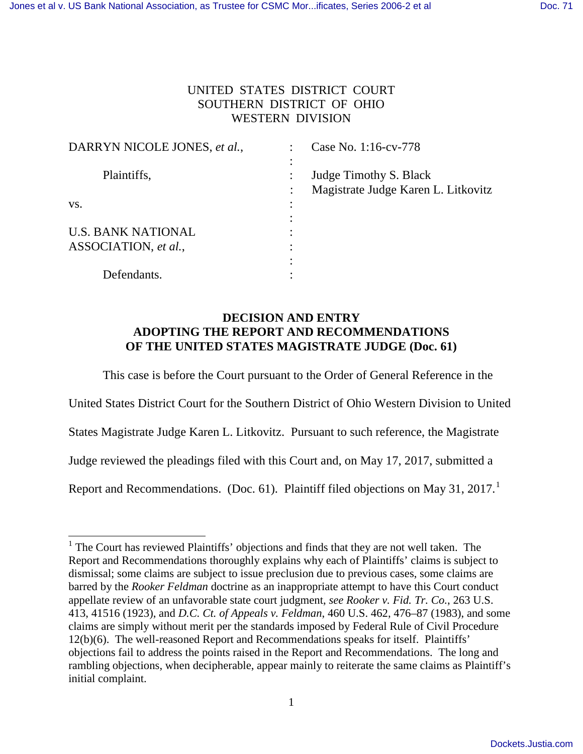## UNITED STATES DISTRICT COURT SOUTHERN DISTRICT OF OHIO WESTERN DIVISION

| DARRYN NICOLE JONES, et al., |   | Case No. 1:16-cv-778                |
|------------------------------|---|-------------------------------------|
|                              |   |                                     |
| Plaintiffs,                  |   | Judge Timothy S. Black              |
|                              |   | Magistrate Judge Karen L. Litkovitz |
| VS.                          |   |                                     |
|                              |   |                                     |
| <b>U.S. BANK NATIONAL</b>    | ٠ |                                     |
| ASSOCIATION, et al.,         |   |                                     |
|                              |   |                                     |
| Defendants.                  |   |                                     |

## **DECISION AND ENTRY ADOPTING THE REPORT AND RECOMMENDATIONS OF THE UNITED STATES MAGISTRATE JUDGE (Doc. 61)**

This case is before the Court pursuant to the Order of General Reference in the

United States District Court for the Southern District of Ohio Western Division to United

States Magistrate Judge Karen L. Litkovitz. Pursuant to such reference, the Magistrate

Judge reviewed the pleadings filed with this Court and, on May 17, 2017, submitted a

Report and Recommendations. (Doc. 6[1](#page-0-0)). Plaintiff filed objections on May 31,  $2017<sup>1</sup>$ 

÷,

<span id="page-0-0"></span><sup>&</sup>lt;sup>1</sup> The Court has reviewed Plaintiffs' objections and finds that they are not well taken. The Report and Recommendations thoroughly explains why each of Plaintiffs' claims is subject to dismissal; some claims are subject to issue preclusion due to previous cases, some claims are barred by the *Rooker Feldman* doctrine as an inappropriate attempt to have this Court conduct appellate review of an unfavorable state court judgment, *see Rooker v. Fid. Tr. Co.*, 263 U.S. 413, 41516 (1923), and *D.C. Ct. of Appeals v. Feldman*, 460 U.S. 462, 476–87 (1983), and some claims are simply without merit per the standards imposed by Federal Rule of Civil Procedure 12(b)(6). The well-reasoned Report and Recommendations speaks for itself. Plaintiffs' objections fail to address the points raised in the Report and Recommendations. The long and rambling objections, when decipherable, appear mainly to reiterate the same claims as Plaintiff's initial complaint.